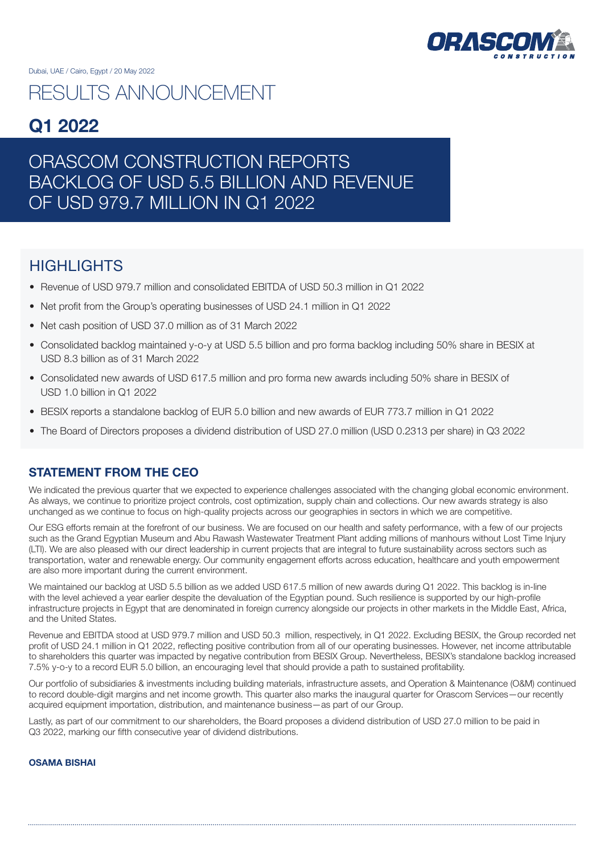

# RESULTS ANNOUNCEMENT

## Q1 2022

# ORASCOM CONSTRUCTION REPORTS BACKLOG OF USD 5.5 BILLION AND REVENUE OF USD 979.7 MILLION IN Q1 2022

## HIGHI IGHTS

- Revenue of USD 979.7 million and consolidated EBITDA of USD 50.3 million in Q1 2022
- Net profit from the Group's operating businesses of USD 24.1 million in Q1 2022
- Net cash position of USD 37.0 million as of 31 March 2022
- Consolidated backlog maintained y-o-y at USD 5.5 billion and pro forma backlog including 50% share in BESIX at USD 8.3 billion as of 31 March 2022
- Consolidated new awards of USD 617.5 million and pro forma new awards including 50% share in BESIX of USD 1.0 billion in Q1 2022
- BESIX reports a standalone backlog of EUR 5.0 billion and new awards of EUR 773.7 million in Q1 2022
- The Board of Directors proposes a dividend distribution of USD 27.0 million (USD 0.2313 per share) in Q3 2022

### STATEMENT FROM THE CEO

We indicated the previous quarter that we expected to experience challenges associated with the changing global economic environment. As always, we continue to prioritize project controls, cost optimization, supply chain and collections. Our new awards strategy is also unchanged as we continue to focus on high-quality projects across our geographies in sectors in which we are competitive.

Our ESG efforts remain at the forefront of our business. We are focused on our health and safety performance, with a few of our projects such as the Grand Egyptian Museum and Abu Rawash Wastewater Treatment Plant adding millions of manhours without Lost Time Injury (LTI). We are also pleased with our direct leadership in current projects that are integral to future sustainability across sectors such as transportation, water and renewable energy. Our community engagement efforts across education, healthcare and youth empowerment are also more important during the current environment.

We maintained our backlog at USD 5.5 billion as we added USD 617.5 million of new awards during Q1 2022. This backlog is in-line with the level achieved a year earlier despite the devaluation of the Egyptian pound. Such resilience is supported by our high-profile infrastructure projects in Egypt that are denominated in foreign currency alongside our projects in other markets in the Middle East, Africa, and the United States.

Revenue and EBITDA stood at USD 979.7 million and USD 50.3 million, respectively, in Q1 2022. Excluding BESIX, the Group recorded net profit of USD 24.1 million in Q1 2022, reflecting positive contribution from all of our operating businesses. However, net income attributable to shareholders this quarter was impacted by negative contribution from BESIX Group. Nevertheless, BESIX's standalone backlog increased 7.5% y-o-y to a record EUR 5.0 billion, an encouraging level that should provide a path to sustained profitability.

Our portfolio of subsidiaries & investments including building materials, infrastructure assets, and Operation & Maintenance (O&M) continued to record double-digit margins and net income growth. This quarter also marks the inaugural quarter for Orascom Services—our recently acquired equipment importation, distribution, and maintenance business—as part of our Group.

Lastly, as part of our commitment to our shareholders, the Board proposes a dividend distribution of USD 27.0 million to be paid in Q3 2022, marking our fifth consecutive year of dividend distributions.

### OSAMA BISHAI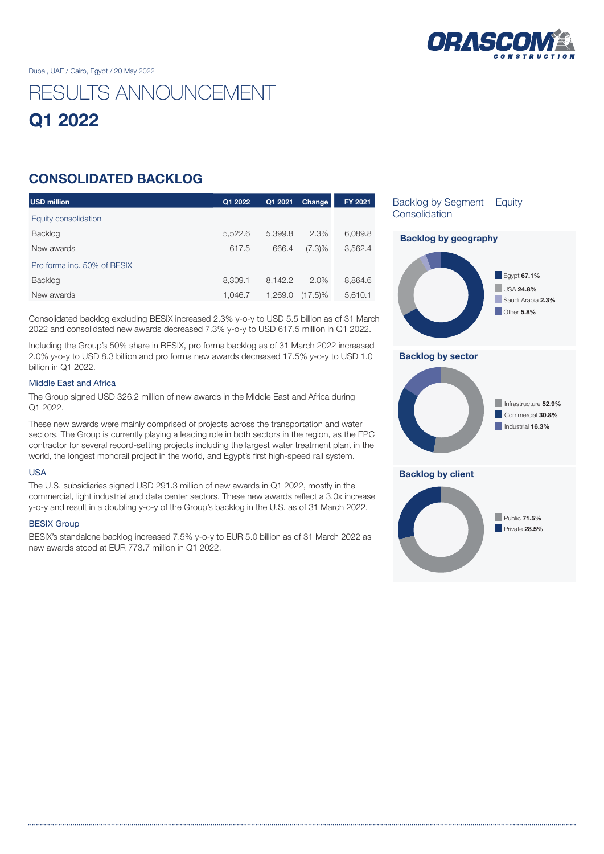

# RESULTS ANNOUNCEMENT Q1 2022

## CONSOLIDATED BACKLOG

| <b>USD million</b>          | Q1 2022 | Q1 2021 | Change     | FY 2021 |
|-----------------------------|---------|---------|------------|---------|
| Equity consolidation        |         |         |            |         |
| <b>Backlog</b>              | 5,522.6 | 5,399.8 | 2.3%       | 6,089.8 |
| New awards                  | 617.5   | 666.4   | $(7.3)\%$  | 3,562.4 |
| Pro forma inc. 50% of BESIX |         |         |            |         |
| <b>Backlog</b>              | 8,309.1 | 8,142.2 | 2.0%       | 8,864.6 |
| New awards                  | 1.046.7 | 1.269.0 | $(17.5)\%$ | 5,610.1 |

Consolidated backlog excluding BESIX increased 2.3% y-o-y to USD 5.5 billion as of 31 March 2022 and consolidated new awards decreased 7.3% y-o-y to USD 617.5 million in Q1 2022.

Including the Group's 50% share in BESIX, pro forma backlog as of 31 March 2022 increased 2.0% y-o-y to USD 8.3 billion and pro forma new awards decreased 17.5% y-o-y to USD 1.0 billion in Q1 2022.

### Middle East and Africa

The Group signed USD 326.2 million of new awards in the Middle East and Africa during Q1 2022.

These new awards were mainly comprised of projects across the transportation and water sectors. The Group is currently playing a leading role in both sectors in the region, as the EPC contractor for several record-setting projects including the largest water treatment plant in the world, the longest monorail project in the world, and Egypt's first high-speed rail system.

### USA

The U.S. subsidiaries signed USD 291.3 million of new awards in Q1 2022, mostly in the commercial, light industrial and data center sectors. These new awards reflect a 3.0x increase y-o-y and result in a doubling y-o-y of the Group's backlog in the U.S. as of 31 March 2022.

### BESIX Group

BESIX's standalone backlog increased 7.5% y-o-y to EUR 5.0 billion as of 31 March 2022 as new awards stood at EUR 773.7 million in Q1 2022.

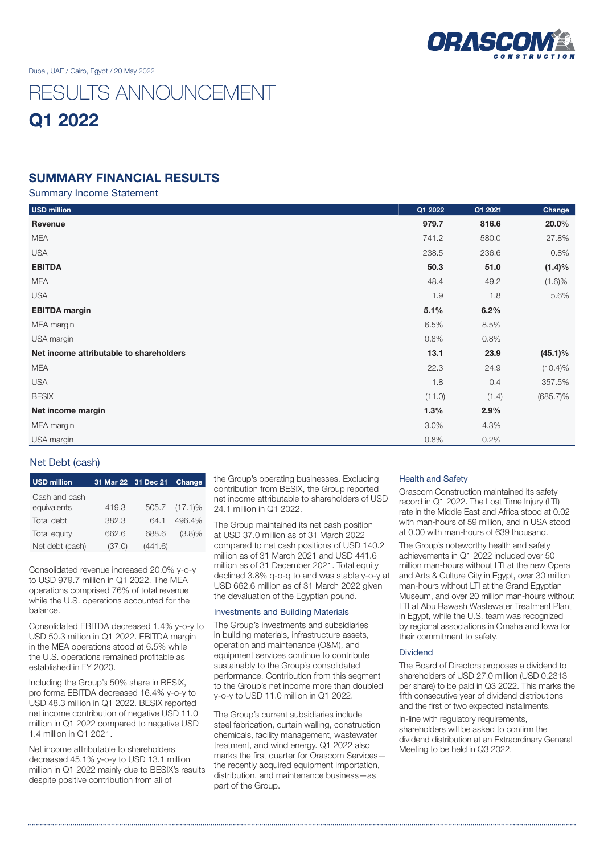

# RESULTS ANNOUNCEMENT Q1 2022

### SUMMARY FINANCIAL RESULTS

Summary Income Statement

| <b>USD</b> million                      | Q1 2022 | Q1 2021 | Change      |
|-----------------------------------------|---------|---------|-------------|
| Revenue                                 | 979.7   | 816.6   | 20.0%       |
| <b>MEA</b>                              | 741.2   | 580.0   | 27.8%       |
| <b>USA</b>                              | 238.5   | 236.6   | 0.8%        |
| <b>EBITDA</b>                           | 50.3    | 51.0    | $(1.4)\%$   |
| <b>MEA</b>                              | 48.4    | 49.2    | (1.6)%      |
| <b>USA</b>                              | 1.9     | 1.8     | 5.6%        |
| <b>EBITDA</b> margin                    | 5.1%    | 6.2%    |             |
| MEA margin                              | 6.5%    | 8.5%    |             |
| USA margin                              | 0.8%    | 0.8%    |             |
| Net income attributable to shareholders | 13.1    | 23.9    | $(45.1)\%$  |
| <b>MEA</b>                              | 22.3    | 24.9    | $(10.4)\%$  |
| <b>USA</b>                              | 1.8     | 0.4     | 357.5%      |
| <b>BESIX</b>                            | (11.0)  | (1.4)   | $(685.7)\%$ |
| Net income margin                       | 1.3%    | 2.9%    |             |
| MEA margin                              | 3.0%    | 4.3%    |             |
| USA margin                              | 0.8%    | 0.2%    |             |

### Net Debt (cash)

| <b>USD million</b>           | 31 Mar 22 31 Dec 21 |         | Change     |
|------------------------------|---------------------|---------|------------|
| Cash and cash<br>equivalents | 419.3               | 505.7   | $(17.1)\%$ |
| Total debt                   | 382.3               | 64.1    | 496.4%     |
| Total equity                 | 662.6               | 688.6   | $(3.8)\%$  |
| Net debt (cash)              | (37.0)              | (441.6) |            |

Consolidated revenue increased 20.0% y-o-y to USD 979.7 million in Q1 2022. The MEA operations comprised 76% of total revenue while the U.S. operations accounted for the balance.

Consolidated EBITDA decreased 1.4% y-o-y to USD 50.3 million in Q1 2022. EBITDA margin in the MEA operations stood at 6.5% while the U.S. operations remained profitable as established in FY 2020.

Including the Group's 50% share in BESIX, pro forma EBITDA decreased 16.4% y-o-y to USD 48.3 million in Q1 2022. BESIX reported net income contribution of negative USD 11.0 million in Q1 2022 compared to negative USD 1.4 million in Q1 2021.

Net income attributable to shareholders decreased 45.1% y-o-y to USD 13.1 million million in Q1 2022 mainly due to BESIX's results despite positive contribution from all of

the Group's operating businesses. Excluding contribution from BESIX, the Group reported net income attributable to shareholders of USD 24.1 million in Q1 2022.

The Group maintained its net cash position at USD 37.0 million as of 31 March 2022 compared to net cash positions of USD 140.2 million as of 31 March 2021 and USD 441.6 million as of 31 December 2021. Total equity declined 3.8% q-o-q to and was stable y-o-y at USD 662.6 million as of 31 March 2022 given the devaluation of the Egyptian pound.

#### Investments and Building Materials

The Group's investments and subsidiaries in building materials, infrastructure assets, operation and maintenance (O&M), and equipment services continue to contribute sustainably to the Group's consolidated performance. Contribution from this segment to the Group's net income more than doubled y-o-y to USD 11.0 million in Q1 2022.

The Group's current subsidiaries include steel fabrication, curtain walling, construction chemicals, facility management, wastewater treatment, and wind energy. Q1 2022 also marks the first quarter for Orascom Services the recently acquired equipment importation, distribution, and maintenance business—as part of the Group.

### Health and Safety

Orascom Construction maintained its safety record in Q1 2022. The Lost Time Injury (LTI) rate in the Middle East and Africa stood at 0.02 with man-hours of 59 million, and in USA stood at 0.00 with man-hours of 639 thousand.

The Group's noteworthy health and safety achievements in Q1 2022 included over 50 million man-hours without LTI at the new Opera and Arts & Culture City in Egypt, over 30 million man-hours without LTI at the Grand Egyptian Museum, and over 20 million man-hours without LTI at Abu Rawash Wastewater Treatment Plant in Egypt, while the U.S. team was recognized by regional associations in Omaha and Iowa for their commitment to safety.

#### Dividend

The Board of Directors proposes a dividend to shareholders of USD 27.0 million (USD 0.2313 per share) to be paid in Q3 2022. This marks the fifth consecutive year of dividend distributions and the first of two expected installments.

In-line with regulatory requirements, shareholders will be asked to confirm the dividend distribution at an Extraordinary General Meeting to be held in Q3 2022.